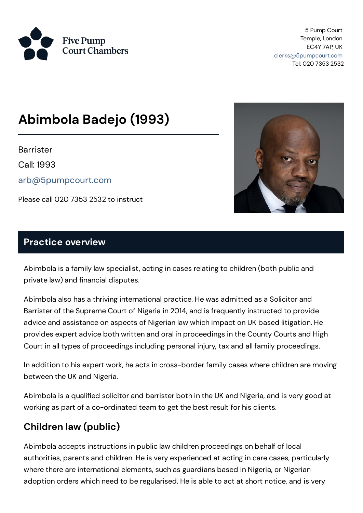

5 Pump Court Temple, London EC4Y 7AP, UK [clerks@5pumpcourt.com](mailto:clerks@5pumpcourt.com) Tel: 020 7353 2532

# **Abimbola Badejo (1993)**

**Barrister** 

Call: 1993

[arb@5pumpcourt.com](mailto:arb@5pumpcourt.com)

Please call 020 7353 2532 to instruct



#### **Practice overview**

Abimbola is a family law specialist, acting in cases relating to children (both public and private law) and financial disputes.

Abimbola also has a thriving international practice. He was admitted as a Solicitor and Barrister of the Supreme Court of Nigeria in 2014, and is frequently instructed to provide advice and assistance on aspects of Nigerian law which impact on UK based litigation. He provides expert advice both written and oral in proceedings in the County Courts and High Court in all types of proceedings including personal injury, tax and all family proceedings.

In addition to his expert work, he acts in cross-border family cases where children are moving between the UK and Nigeria.

Abimbola is a qualified solicitor and barrister both in the UK and Nigeria, and is very good at working as part of a co-ordinated team to get the best result for his clients.

# **Children law (public)**

Abimbola accepts instructions in public law children proceedings on behalf of local authorities, parents and children. He is very experienced at acting in care cases, particularly where there are international elements, such as guardians based in Nigeria, or Nigerian adoption orders which need to be regularised. He is able to act at short notice, and is very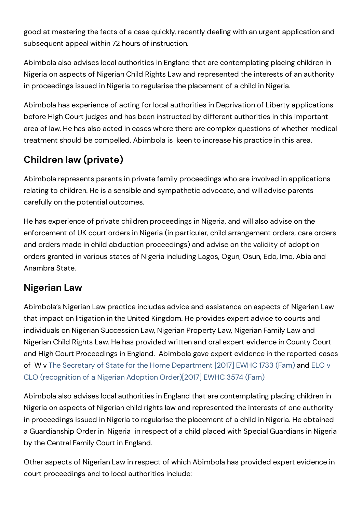good at mastering the facts of a case quickly, recently dealing with an urgent application and subsequent appeal within 72 hours of instruction.

Abimbola also advises local authorities in England that are contemplating placing children in Nigeria on aspects of Nigerian Child Rights Law and represented the interests of an authority in proceedings issued in Nigeria to regularise the placement of a child in Nigeria.

Abimbola has experience of acting for local authorities in Deprivation of Liberty applications before High Court judges and has been instructed by different authorities in this important area of law. He has also acted in cases where there are complex questions of whether medical treatment should be compelled. Abimbola is keen to increase his practice in this area.

# **Children law (private)**

Abimbola represents parents in private family proceedings who are involved in applications relating to children. He is a sensible and sympathetic advocate, and will advise parents carefully on the potential outcomes.

He has experience of private children proceedings in Nigeria, and will also advise on the enforcement of UK court orders in Nigeria (in particular, child arrangement orders, care orders and orders made in child abduction proceedings) and advise on the validity of adoption orders granted in various states of Nigeria including Lagos, Ogun, Osun, Edo, Imo, Abia and Anambra State.

# **Nigerian Law**

Abimbola's Nigerian Law practice includes advice and assistance on aspects of Nigerian Law that impact on litigation in the United Kingdom. He provides expert advice to courts and individuals on Nigerian Succession Law, Nigerian Property Law, Nigerian Family Law and Nigerian Child Rights Law. He has provided written and oral expert evidence in County Court and High Court Proceedings in England. Abimbola gave expert evidence in the reported cases of W v The Secretary of State for the Home [Department](http://www.bailii.org/ew/cases/EWHC/Fam/2017/3574.html) [2017] EWHC 1733 (Fam) and ELO v CLO (recognition of a Nigerian Adoption Order)[2017] EWHC 3574 (Fam)

Abimbola also advises local authorities in England that are contemplating placing children in Nigeria on aspects of Nigerian child rights law and represented the interests of one authority in proceedings issued in Nigeria to regularise the placement of a child in Nigeria. He obtained a Guardianship Order in Nigeria in respect of a child placed with Special Guardians in Nigeria by the Central Family Court in England.

Other aspects of Nigerian Law in respect of which Abimbola has provided expert evidence in court proceedings and to local authorities include: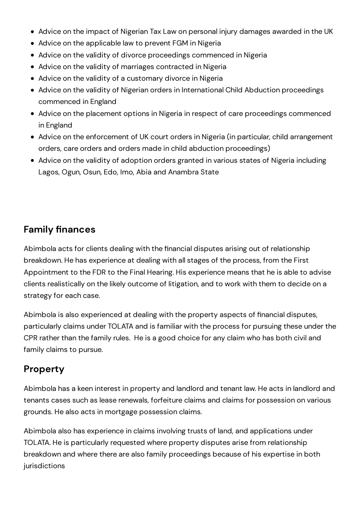- Advice on the impact of Nigerian Tax Law on personal injury damages awarded in the UK
- Advice on the applicable law to prevent FGM in Nigeria
- Advice on the validity of divorce proceedings commenced in Nigeria
- Advice on the validity of marriages contracted in Nigeria
- Advice on the validity of a customary divorce in Nigeria
- Advice on the validity of Nigerian orders in International Child Abduction proceedings commenced in England
- Advice on the placement options in Nigeria in respect of care proceedings commenced in England
- Advice on the enforcement of UK court orders in Nigeria (in particular, child arrangement orders, care orders and orders made in child abduction proceedings)
- Advice on the validity of adoption orders granted in various states of Nigeria including Lagos, Ogun, Osun, Edo, Imo, Abia and Anambra State

### **Family finances**

Abimbola acts for clients dealing with the financial disputes arising out of relationship breakdown. He has experience at dealing with allstages of the process, from the First Appointment to the FDR to the Final Hearing. His experience means that he is able to advise clients realistically on the likely outcome of litigation, and to work with them to decide on a strategy for each case.

Abimbola is also experienced at dealing with the property aspects of financial disputes, particularly claims under TOLATA and is familiar with the process for pursuing these under the CPR rather than the family rules. He is a good choice for any claim who has both civil and family claims to pursue.

## **Property**

Abimbola has a keen interest in property and landlord and tenant law. He acts in landlord and tenants cases such as lease renewals, forfeiture claims and claims for possession on various grounds. He also acts in mortgage possession claims.

Abimbola also has experience in claims involving trusts of land, and applications under TOLATA. He is particularly requested where property disputes arise from relationship breakdown and where there are also family proceedings because of his expertise in both jurisdictions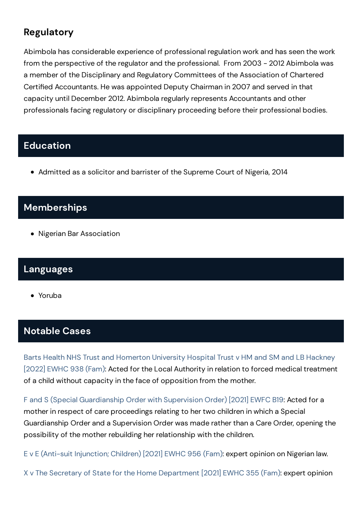# **Regulatory**

Abimbola has considerable experience of professional regulation work and has seen the work from the perspective of the regulator and the professional. From 2003 - 2012 Abimbola was a member of the Disciplinary and Regulatory Committees of the Association of Chartered Certified Accountants. He was appointed Deputy Chairman in 2007 and served in that capacity until December 2012. Abimbola regularly represents Accountants and other professionals facing regulatory or disciplinary proceeding before their professional bodies.

### **Education**

• Admitted as a solicitor and barrister of the Supreme Court of Nigeria, 2014

## **Memberships**

• Nigerian Bar Association

### **Languages**

Yoruba

## **Notable Cases**

Barts Health NHS Trust and [Homerton](https://www.5pumpcourt.com/media/ejbpvob1/fd21p00954-judgment.pdf) University Hospital Trust v HM and SM and LB Hackney [2022] EWHC 938 (Fam): Acted for the Local Authority in relation to forced medical treatment of a child without capacity in the face of opposition from the mother.

F and S (Special [Guardianship](https://www.bailii.org/ew/cases/EWFC/OJ/2021/B19.html) Order with Supervision Order) [2021] EWFC B19: Acted for a mother in respect of care proceedings relating to her two children in which a Special Guardianship Order and a Supervision Order was made rather than a Care Order, opening the possibility of the mother rebuilding her relationship with the children.

E v E (Anti-suit [Injunction;](https://www.bailii.org/ew/cases/EWHC/Fam/2021/956.html) Children) [2021] EWHC 956 (Fam): expert opinion on Nigerian law.

X v The Secretary of State for the Home [Department](https://www.bailii.org/ew/cases/EWHC/Fam/2021/355.html) [2021] EWHC 355 (Fam): expert opinion